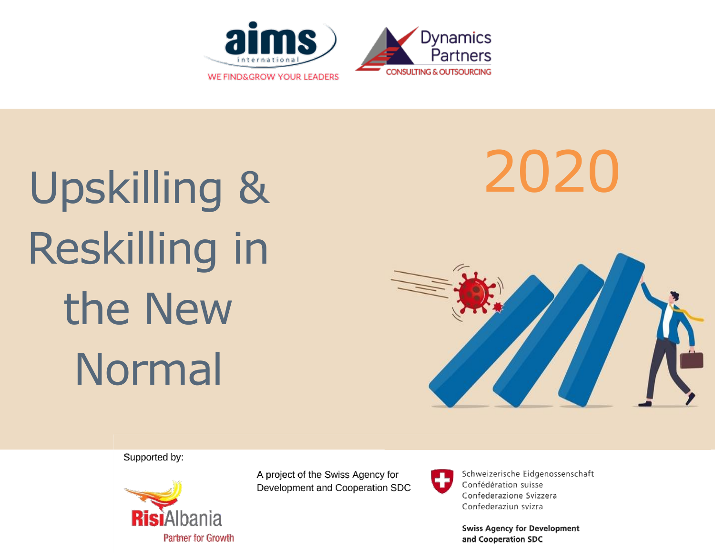

# Upskilling & 2020 Reskilling in the New Normal



Supported by:



A project of the Swiss Agency for Development and Cooperation SDC



Schweizerische Eidgenossenschaft Confédération suisse Confederazione Svizzera Confederaziun svizra

**Swiss Agency for Development** and Cooperation SDC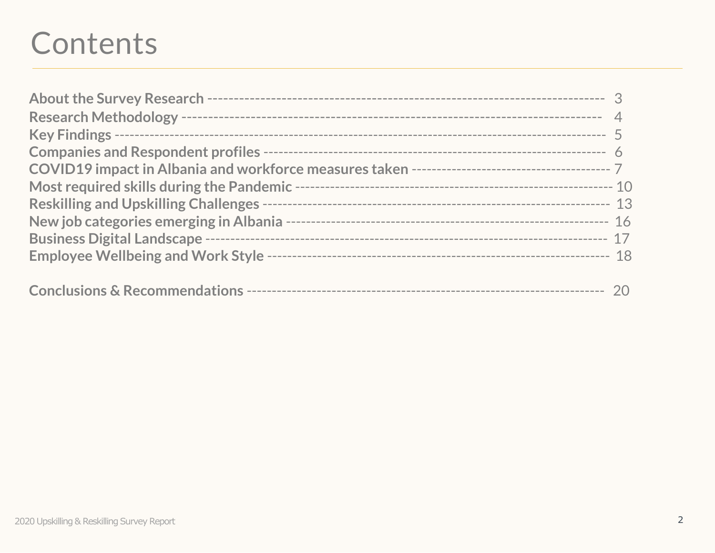## Contents

| Most required skills during the Pandemic -- |  |
|---------------------------------------------|--|
|                                             |  |
|                                             |  |
|                                             |  |
|                                             |  |
|                                             |  |
|                                             |  |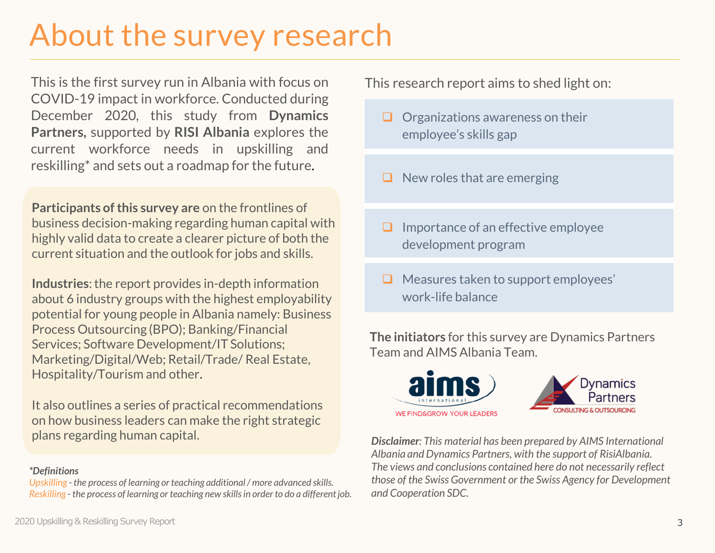## About the survey research

This is the first survey run in Albania with focus on COVID-19 impact in workforce. Conducted during December 2020, this study from **Dynamics Partners,** supported by **RISI Albania** explores the current workforce needs in upskilling and reskilling\* and sets out a roadmap for the future.

**Participants of this survey are** on the frontlines of business decision-making regarding human capital with highly valid data to create a clearer picture of both the current situation and the outlook for jobs and skills.

**Industries**: the report provides in-depth information about 6 industry groups with the highest employability potential for young people in Albania namely: Business Process Outsourcing (BPO); Banking/Financial Services; Software Development/IT Solutions; Marketing/Digital/Web; Retail/Trade/ Real Estate, Hospitality/Tourism and other.

It also outlines a series of practical recommendations on how business leaders can make the right strategic plans regarding human capital.

### *\*Definitions*

*Upskilling - the process of learning or teaching additional / more advanced skills. Reskilling - the process of learning or teaching new skills in order to do a different job.* This research report aims to shed light on:

- $\Box$  Organizations awareness on their employee's skills gap
- $\Box$  New roles that are emerging
- ❑ Importance of an effective employee development program
- ❑ Measures taken to support employees' work-life balance

**The initiators** for this survey are Dynamics Partners Team and AIMS Albania Team.





*Disclaimer: This material has been prepared by AIMS International Albania and Dynamics Partners, with the support of RisiAlbania. The views and conclusions contained here do not necessarily reflect those of the Swiss Government or the Swiss Agency for Development and Cooperation SDC.*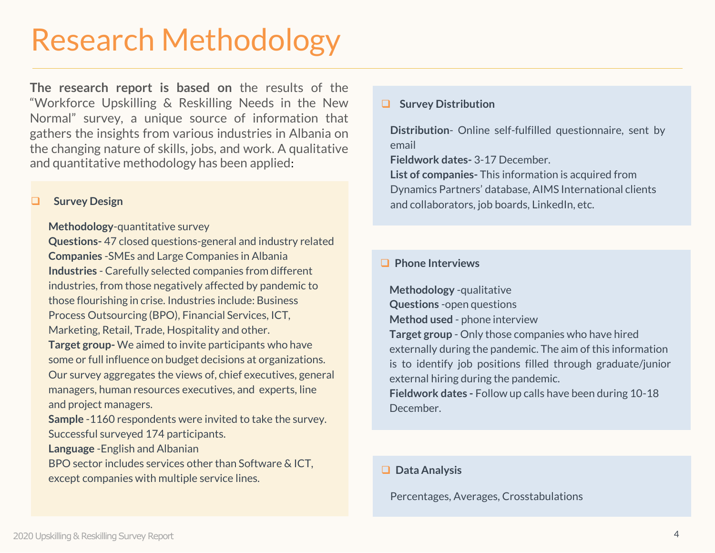## Research Methodology

**The research report is based on** the results of the "Workforce Upskilling & Reskilling Needs in the New Normal" survey, a unique source of information that gathers the insights from various industries in Albania on the changing nature of skills, jobs, and work. A qualitative and quantitative methodology has been applied:

#### ❑ **Survey Design**

#### **Methodology**-quantitative survey

**Questions-** 47 closed questions-general and industry related **Companies** -SMEs and Large Companies in Albania **Industries** - Carefully selected companies from different industries, from those negatively affected by pandemic to those flourishing in crise. Industries include: Business Process Outsourcing (BPO), Financial Services, ICT, Marketing, Retail, Trade, Hospitality and other. **Target group-** We aimed to invite participants who have some or full influence on budget decisions at organizations. Our survey aggregates the views of, chief executives, general managers, human resources executives, and experts, line

and project managers.

**Sample** -1160 respondents were invited to take the survey. Successful surveyed 174 participants.

**Language** -English and Albanian

BPO sector includes services other than Software & ICT, except companies with multiple service lines.

### ❑ **Survey Distribution**

**Distribution**- Online self-fulfilled questionnaire, sent by email

**Fieldwork dates-** 3-17 December.

**List of companies-** This information is acquired from Dynamics Partners' database, AIMS International clients and collaborators, job boards, LinkedIn, etc.

### ❑ **Phone Interviews**

**Methodology** -qualitative **Questions** -open questions **Method used** - phone interview **Target group** - Only those companies who have hired externally during the pandemic. The aim of this information is to identify job positions filled through graduate/junior external hiring during the pandemic. **Fieldwork dates -** Follow up calls have been during 10-18 December.

### ❑ **Data Analysis**

Percentages, Averages, Crosstabulations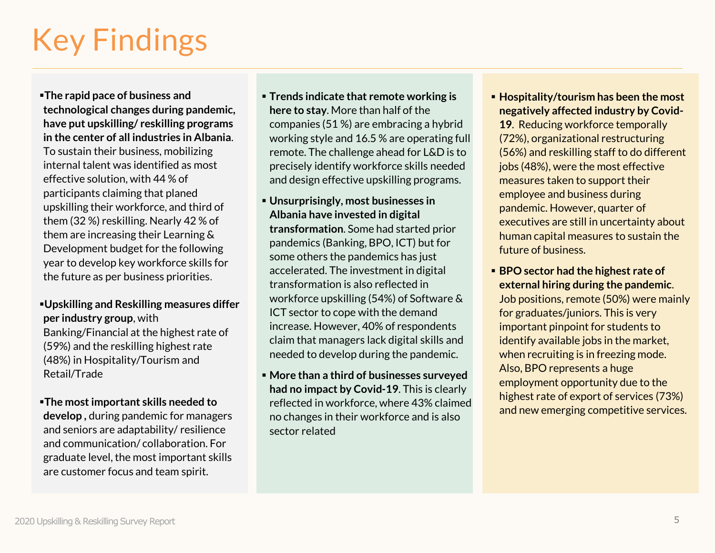## Key Findings

▪**The rapid pace of business and technological changes during pandemic, have put upskilling/ reskilling programs in the center of all industries in Albania**. To sustain their business, mobilizing internal talent was identified as most effective solution, with 44 % of participants claiming that planed upskilling their workforce, and third of them (32 %) reskilling. Nearly 42 % of them are increasing their Learning & Development budget for the following year to develop key workforce skills for the future as per business priorities.

### ▪**Upskilling and Reskilling measures differ per industry group**, with

Banking/Financial at the highest rate of (59%) and the reskilling highest rate (48%) in Hospitality/Tourism and Retail/Trade

▪**The most important skills needed to develop ,** during pandemic for managers and seniors are adaptability/ resilience and communication/ collaboration. For graduate level, the most important skills are customer focus and team spirit.

- **Trends indicate that remote working is here to stay**. More than half of the companies (51 %) are embracing a hybrid working style and 16.5 % are operating full remote. The challenge ahead for L&D is to precisely identify workforce skills needed and design effective upskilling programs.
- **Unsurprisingly, most businesses in Albania have invested in digital transformation**. Some had started prior pandemics (Banking, BPO, ICT) but for some others the pandemics has just accelerated. The investment in digital transformation is also reflected in workforce upskilling (54%) of Software & ICT sector to cope with the demand increase. However, 40% of respondents claim that managers lack digital skills and needed to develop during the pandemic.
- **More than a third of businesses surveyed had no impact by Covid-19**. This is clearly reflected in workforce, where 43% claimed no changes in their workforce and is also sector related

▪ **Hospitality/tourism has been the most negatively affected industry by Covid-**

**19**. Reducing workforce temporally (72%), organizational restructuring (56%) and reskilling staff to do different jobs (48%), were the most effective measures taken to support their employee and business during pandemic. However, quarter of executives are still in uncertainty about human capital measures to sustain the future of business.

■ **BPO sector had the highest rate of external hiring during the pandemic**. Job positions, remote (50%) were mainly for graduates/juniors. This is very important pinpoint for students to identify available jobs in the market, when recruiting is in freezing mode. Also, BPO represents a huge employment opportunity due to the highest rate of export of services (73%) and new emerging competitive services.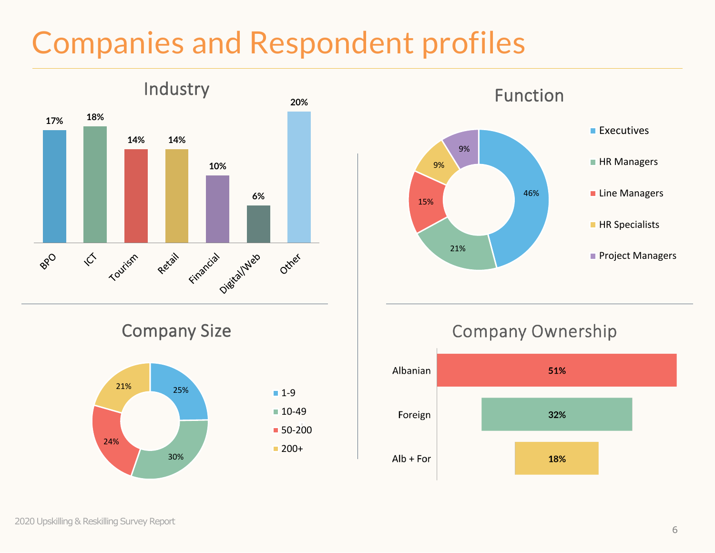## Companies and Respondent profiles







### **Company Ownership**

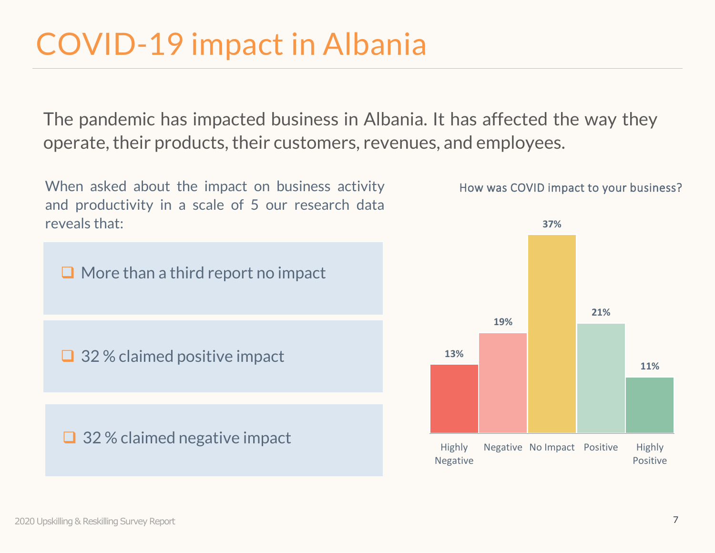## COVID-19 impact in Albania

The pandemic has impacted business in Albania. It has affected the way they operate, their products, their customers, revenues, and employees.



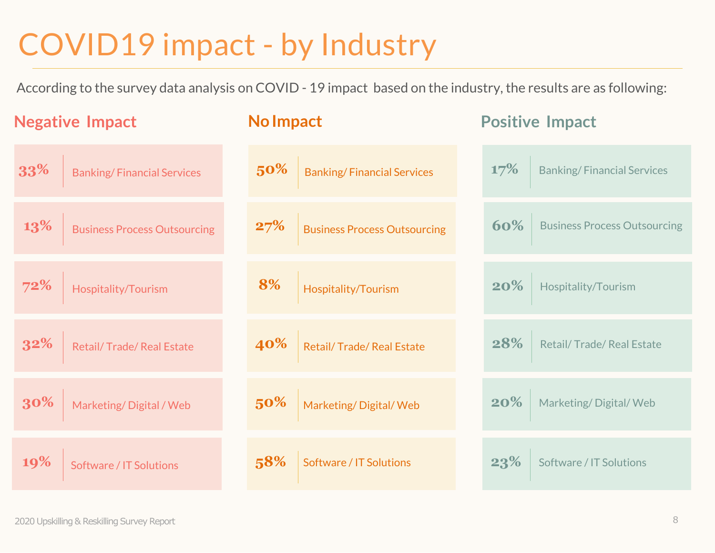## COVID19 impact - by Industry

According to the survey data analysis on COVID - 19 impact based on the industry, the results are as following:

| <b>Negative Impact</b>              | <b>No Impact</b>                    | <b>Positive Impact</b>              |
|-------------------------------------|-------------------------------------|-------------------------------------|
| 33%                                 | 50%                                 | 17%                                 |
| <b>Banking/Financial Services</b>   | <b>Banking/Financial Services</b>   | <b>Banking/Financial Services</b>   |
| 13%                                 | 27%                                 | 60%                                 |
| <b>Business Process Outsourcing</b> | <b>Business Process Outsourcing</b> | <b>Business Process Outsourcing</b> |
| 72%                                 | 8%                                  | 20%                                 |
| Hospitality/Tourism                 | Hospitality/Tourism                 | Hospitality/Tourism                 |
| 32%                                 | 40%                                 | 28%                                 |
| Retail/Trade/Real Estate            | Retail/ Trade/ Real Estate          | Retail/Trade/Real Estate            |
| 30%                                 | 50%                                 | 20%                                 |
| Marketing/Digital / Web             | Marketing/Digital/Web               | Marketing/Digital/Web               |
| 19%                                 | 58%                                 | 23%                                 |
| Software / IT Solutions             | Software / IT Solutions             | Software / IT Solutions             |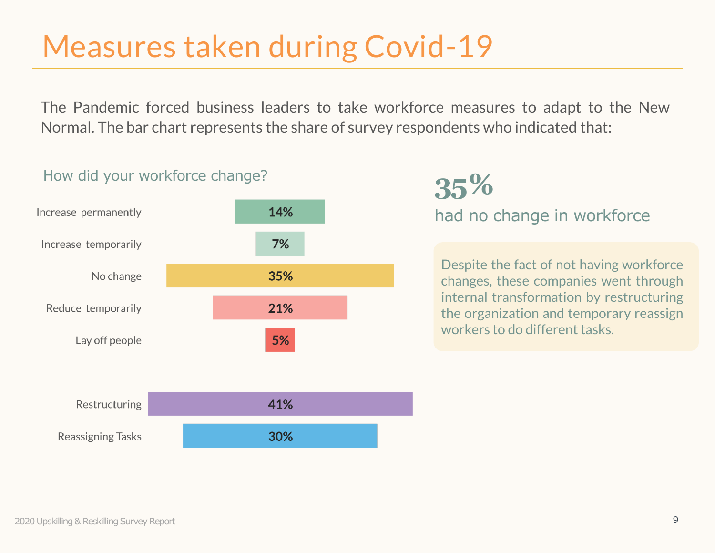## Measures taken during Covid-19

The Pandemic forced business leaders to take workforce measures to adapt to the New Normal. The bar chart represents the share of survey respondents who indicated that:

### How did your workforce change?



### had no change in workforce **35%**

Despite the fact of not having workforce changes, these companies went through internal transformation by restructuring the organization and temporary reassign workers to do different tasks.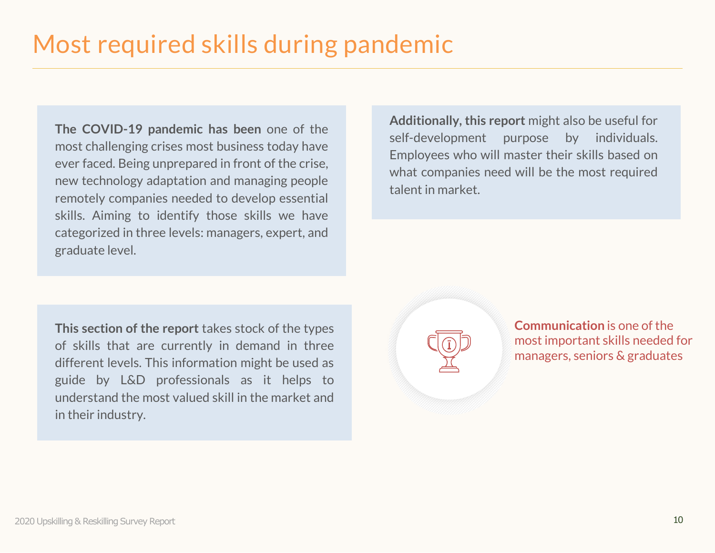**The COVID-19 pandemic has been** one of the most challenging crises most business today have ever faced. Being unprepared in front of the crise, new technology adaptation and managing people remotely companies needed to develop essential skills. Aiming to identify those skills we have categorized in three levels: managers, expert, and graduate level.

**Additionally, this report** might also be useful for self-development purpose by individuals. Employees who will master their skills based on what companies need will be the most required talent in market.

**This section of the report** takes stock of the types of skills that are currently in demand in three different levels. This information might be used as guide by L&D professionals as it helps to understand the most valued skill in the market and in their industry.

**Communication** is one of the most important skills needed for managers, seniors & graduates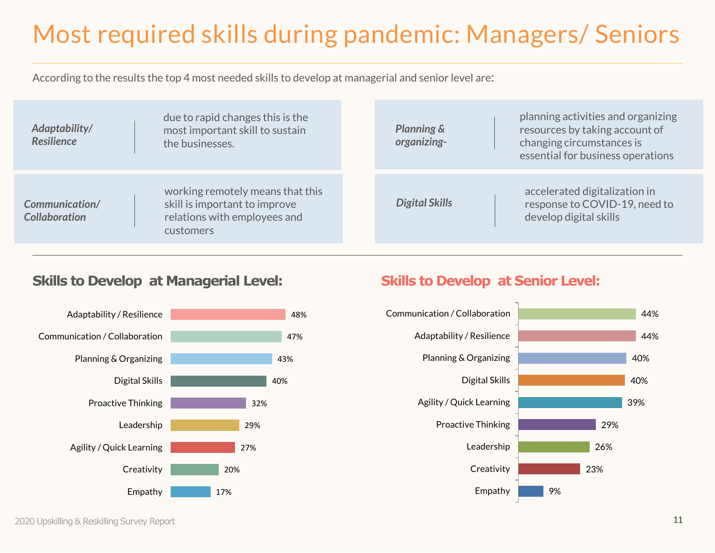## Most required skills during pandemic: Managers/ Seniors

According to the results the top 4 most needed skills to develop at managerial and senior level are:

| Adaptability/<br><b>Resilience</b>     | due to rapid changes this is the<br>most important skill to sustain<br>the businesses.                         | planning activities and organizing<br>resources by taking account of<br><b>Planning &amp;</b><br>changing circumstances is<br>organizing-<br>essential for business operations |
|----------------------------------------|----------------------------------------------------------------------------------------------------------------|--------------------------------------------------------------------------------------------------------------------------------------------------------------------------------|
| Communication/<br><b>Collaboration</b> | working remotely means that this<br>skill is important to improve<br>relations with employees and<br>customers | accelerated digitalization in<br><b>Digital Skills</b><br>response to COVID-19, need to<br>develop digital skills                                                              |

### **Skills to Develop at Managerial Level:** Skills to Develop at Senior Level:



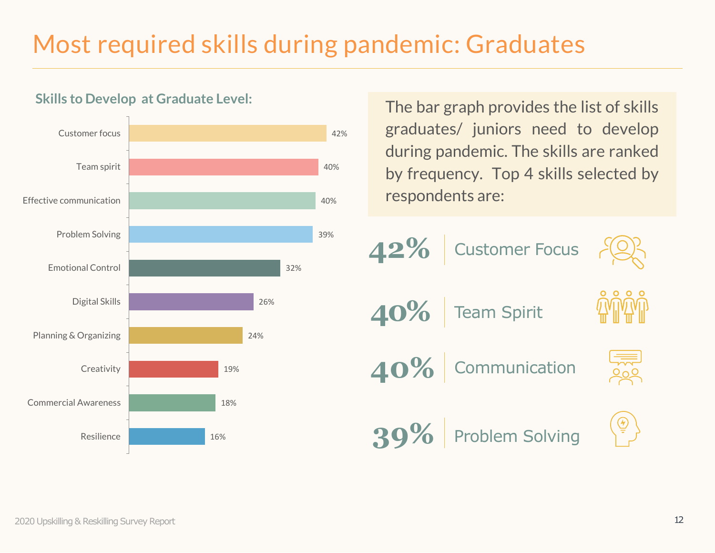### Most required skills during pandemic: Graduates

42%



### **Skills to Develop at Graduate Level:**

The bar graph provides the list of skills graduates/ juniors need to develop during pandemic. The skills are ranked by frequency. Top 4 skills selected by respondents are:

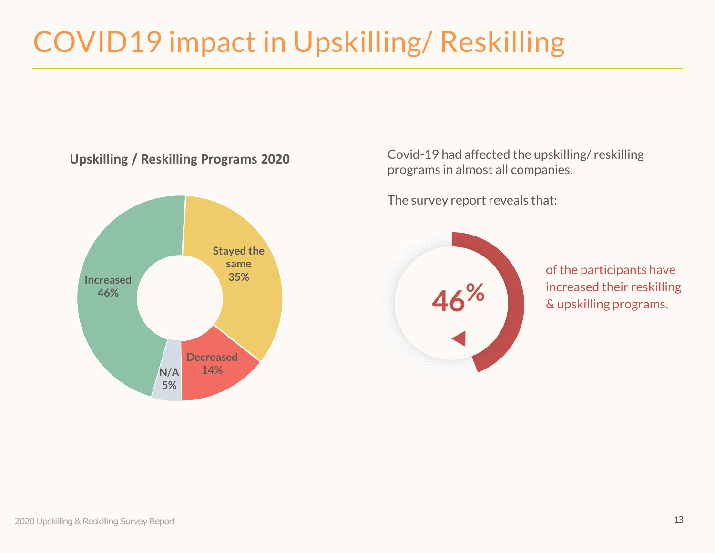## COVID19 impact in Upskilling/ Reskilling



Covid-19 had affected the upskilling/ reskilling programs in almost all companies.

The survey report reveals that:



of the participants have increased their reskilling & upskilling programs.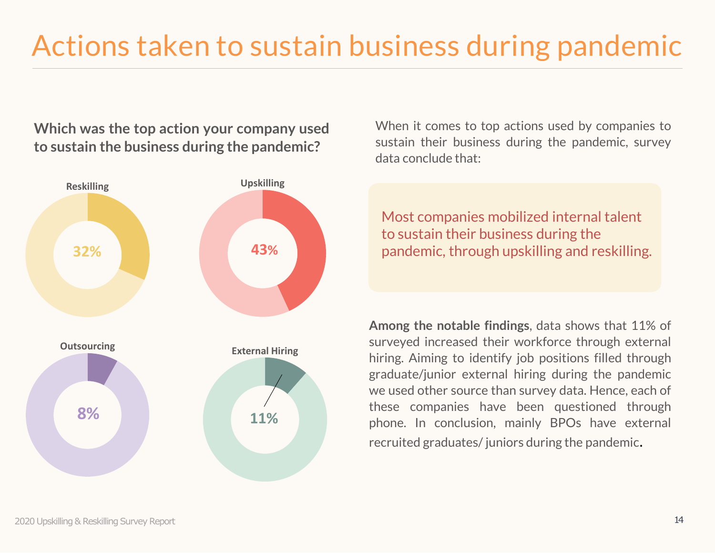**Which was the top action your company used to sustain the business during the pandemic?**



When it comes to top actions used by companies to sustain their business during the pandemic, survey data conclude that:

Most companies mobilized internal talent to sustain their business during the pandemic, through upskilling and reskilling.

**Among the notable findings**, data shows that 11% of surveyed increased their workforce through external hiring. Aiming to identify job positions filled through graduate/junior external hiring during the pandemic we used other source than survey data. Hence, each of these companies have been questioned through phone. In conclusion, mainly BPOs have external recruited graduates/ juniors during the pandemic.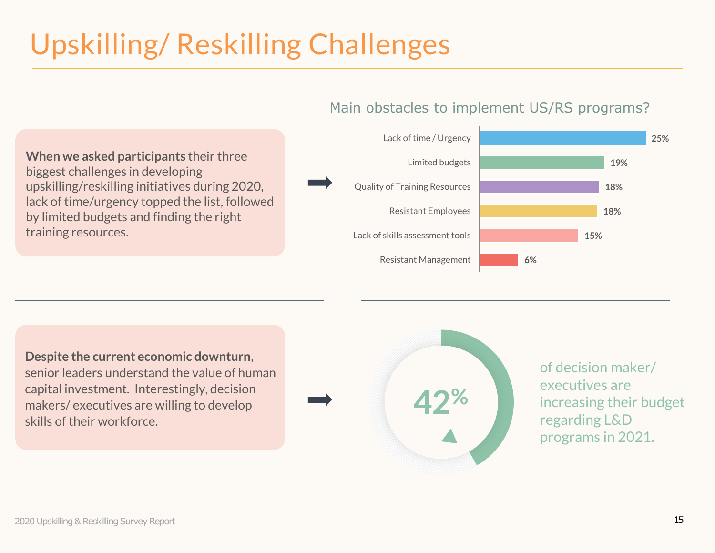## Upskilling/ Reskilling Challenges

### Main obstacles to implement US/RS programs?





**Despite the current economic downturn**, senior leaders understand the value of human capital investment. Interestingly, decision makers/ executives are willing to develop skills of their workforce.



of decision maker/ executives are increasing their budget regarding L&D programs in 2021.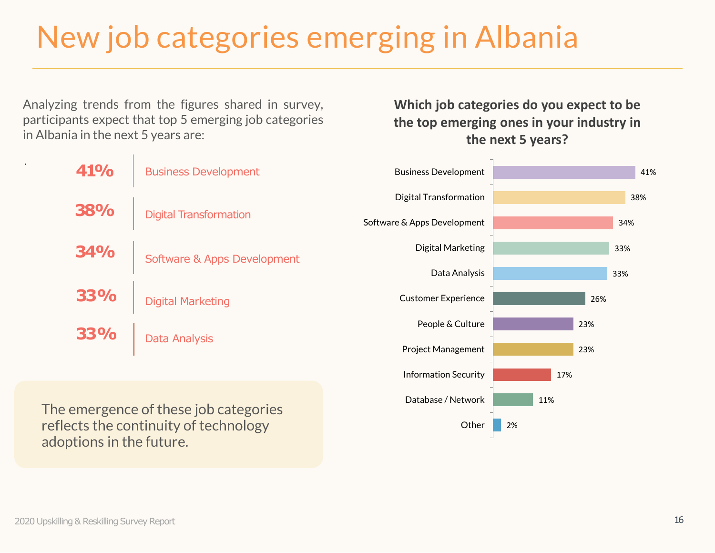## New job categories emerging in Albania

Analyzing trends from the figures shared in survey, participants expect that top 5 emerging job categories in Albania in the next 5 years are:

| 41%        | <b>Business Development</b> |  |
|------------|-----------------------------|--|
| <b>38%</b> | Digital Transformation      |  |
| <b>34%</b> | Software & Apps Development |  |
| <b>33%</b> | <b>Digital Marketing</b>    |  |
| <b>33%</b> | <b>Data Analysis</b>        |  |

The emergence of these job categories reflects the continuity of technology adoptions in the future.

**Which job categories do you expect to be the top emerging ones in your industry in the next 5 years?**



.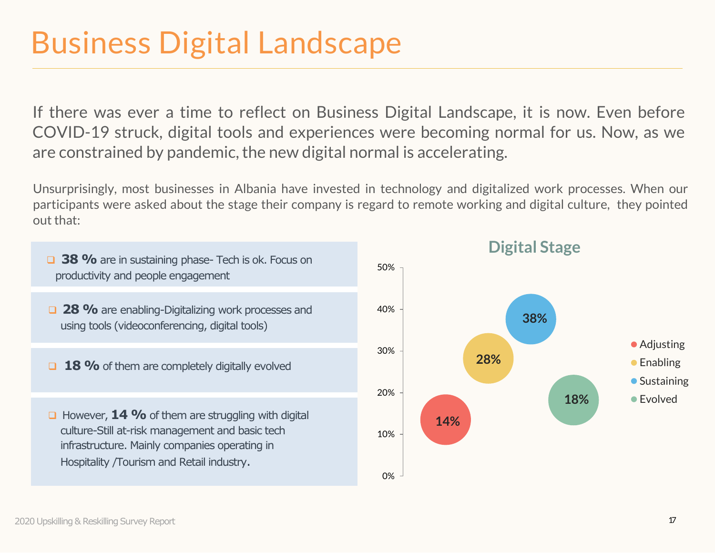## Business Digital Landscape

If there was ever a time to reflect on Business Digital Landscape, it is now. Even before COVID-19 struck, digital tools and experiences were becoming normal for us. Now, as we are constrained by pandemic, the new digital normal is accelerating.

Unsurprisingly, most businesses in Albania have invested in technology and digitalized work processes. When our participants were asked about the stage their company is regard to remote working and digital culture, they pointed out that:

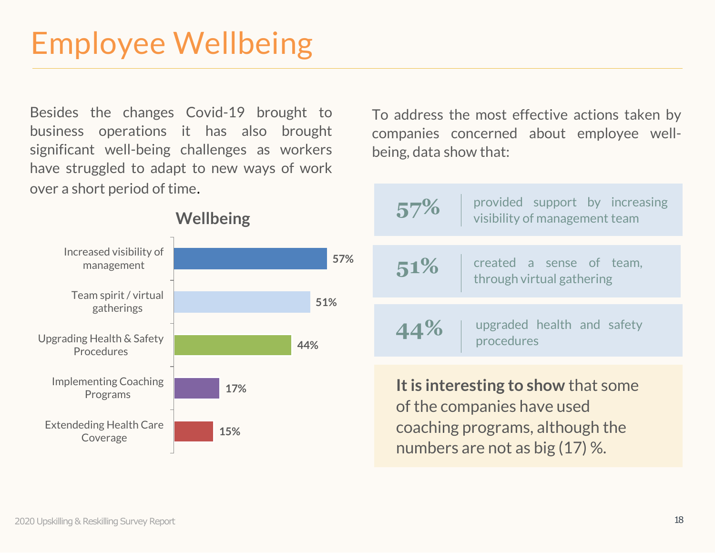## Employee Wellbeing

Besides the changes Covid-19 brought to business operations it has also brought significant well-being challenges as workers have struggled to adapt to new ways of work over a short period of time.

To address the most effective actions taken by companies concerned about employee wellbeing, data show that:

|            | provided support by increasing<br>57%<br>visibility of management team                                                                   |  |
|------------|------------------------------------------------------------------------------------------------------------------------------------------|--|
| 57%        | created a sense of team,<br>51%<br>through virtual gathering                                                                             |  |
| 51%<br>44% | upgraded health and safety<br>44%<br>procedures                                                                                          |  |
|            | It is interesting to show that some<br>of the companies have used<br>coaching programs, although the<br>numbers are not as big $(17)$ %. |  |

### **Wellbeing**

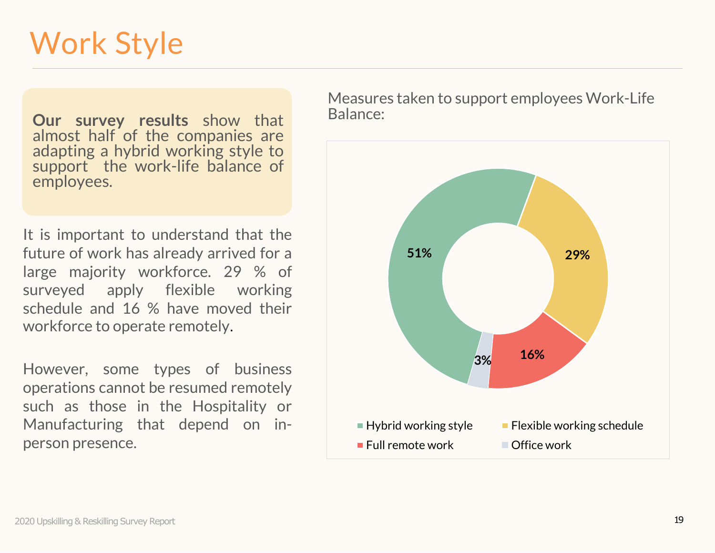## Work Style

**Our survey results** show that almost half of the companies are adapting a hybrid working style to support the work-life balance of employees.

It is important to understand that the future of work has already arrived for a large majority workforce. 29 % of surveyed apply flexible working schedule and 16 % have moved their workforce to operate remotely.

However, some types of business operations cannot be resumed remotely such as those in the Hospitality or Manufacturing that depend on inperson presence.

Measures taken to support employees Work-Life Balance: